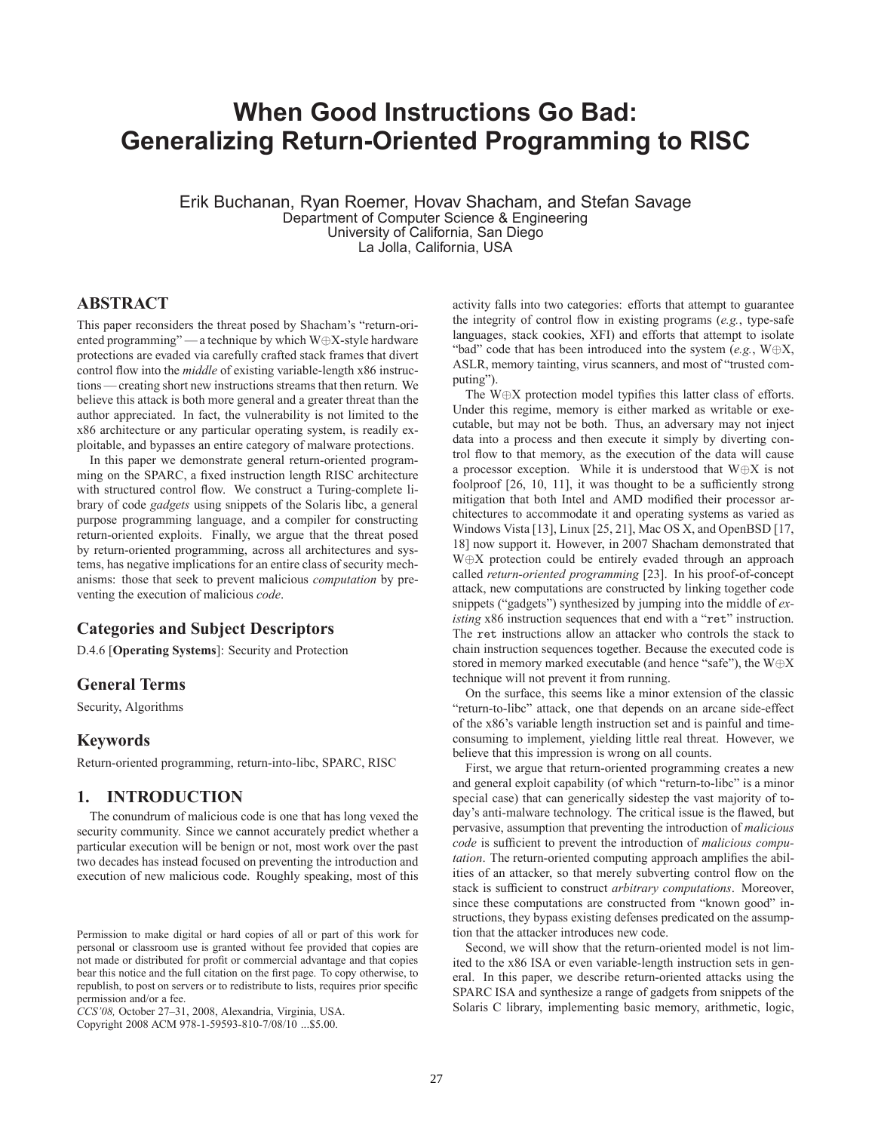# **When Good Instructions Go Bad: Generalizing Return-Oriented Programming to RISC**

Erik Buchanan, Ryan Roemer, Hovav Shacham, and Stefan Savage Department of Computer Science & Engineering University of California, San Diego La Jolla, California, USA

# **ABSTRACT**

This paper reconsiders the threat posed by Shacham's "return-oriented programming" — a technique by which W⊕X-style hardware protections are evaded via carefully crafted stack frames that divert control flow into the *middle* of existing variable-length x86 instructions — creating short new instructions streams that then return. We believe this attack is both more general and a greater threat than the author appreciated. In fact, the vulnerability is not limited to the x86 architecture or any particular operating system, is readily exploitable, and bypasses an entire category of malware protections.

In this paper we demonstrate general return-oriented programming on the SPARC, a fixed instruction length RISC architecture with structured control flow. We construct a Turing-complete library of code *gadgets* using snippets of the Solaris libc, a general purpose programming language, and a compiler for constructing return-oriented exploits. Finally, we argue that the threat posed by return-oriented programming, across all architectures and systems, has negative implications for an entire class of security mechanisms: those that seek to prevent malicious *computation* by preventing the execution of malicious *code*.

# **Categories and Subject Descriptors**

D.4.6 [**Operating Systems**]: Security and Protection

## **General Terms**

Security, Algorithms

## **Keywords**

Return-oriented programming, return-into-libc, SPARC, RISC

## **1. INTRODUCTION**

The conundrum of malicious code is one that has long vexed the security community. Since we cannot accurately predict whether a particular execution will be benign or not, most work over the past two decades has instead focused on preventing the introduction and execution of new malicious code. Roughly speaking, most of this

Copyright 2008 ACM 978-1-59593-810-7/08/10 ...\$5.00.

activity falls into two categories: efforts that attempt to guarantee the integrity of control flow in existing programs (*e.g.*, type-safe languages, stack cookies, XFI) and efforts that attempt to isolate "bad" code that has been introduced into the system (*e.g.*, W⊕X, ASLR, memory tainting, virus scanners, and most of "trusted computing").

The W⊕X protection model typifies this latter class of efforts. Under this regime, memory is either marked as writable or executable, but may not be both. Thus, an adversary may not inject data into a process and then execute it simply by diverting control flow to that memory, as the execution of the data will cause a processor exception. While it is understood that W⊕X is not foolproof [26, 10, 11], it was thought to be a sufficiently strong mitigation that both Intel and AMD modified their processor architectures to accommodate it and operating systems as varied as Windows Vista [13], Linux [25, 21], Mac OS X, and OpenBSD [17, 18] now support it. However, in 2007 Shacham demonstrated that W⊕X protection could be entirely evaded through an approach called *return-oriented programming* [23]. In his proof-of-concept attack, new computations are constructed by linking together code snippets ("gadgets") synthesized by jumping into the middle of *existing*  $x86$  instruction sequences that end with a "ret" instruction. The ret instructions allow an attacker who controls the stack to chain instruction sequences together. Because the executed code is stored in memory marked executable (and hence "safe"), the  $W \oplus X$ technique will not prevent it from running.

On the surface, this seems like a minor extension of the classic "return-to-libc" attack, one that depends on an arcane side-effect of the x86's variable length instruction set and is painful and timeconsuming to implement, yielding little real threat. However, we believe that this impression is wrong on all counts.

First, we argue that return-oriented programming creates a new and general exploit capability (of which "return-to-libc" is a minor special case) that can generically sidestep the vast majority of today's anti-malware technology. The critical issue is the flawed, but pervasive, assumption that preventing the introduction of *malicious code* is sufficient to prevent the introduction of *malicious computation*. The return-oriented computing approach amplifies the abilities of an attacker, so that merely subverting control flow on the stack is sufficient to construct *arbitrary computations*. Moreover, since these computations are constructed from "known good" instructions, they bypass existing defenses predicated on the assumption that the attacker introduces new code.

Second, we will show that the return-oriented model is not limited to the x86 ISA or even variable-length instruction sets in general. In this paper, we describe return-oriented attacks using the SPARC ISA and synthesize a range of gadgets from snippets of the Solaris C library, implementing basic memory, arithmetic, logic,

Permission to make digital or hard copies of all or part of this work for personal or classroom use is granted without fee provided that copies are not made or distributed for profit or commercial advantage and that copies bear this notice and the full citation on the first page. To copy otherwise, to republish, to post on servers or to redistribute to lists, requires prior specific permission and/or a fee.

*CCS'08,* October 27–31, 2008, Alexandria, Virginia, USA.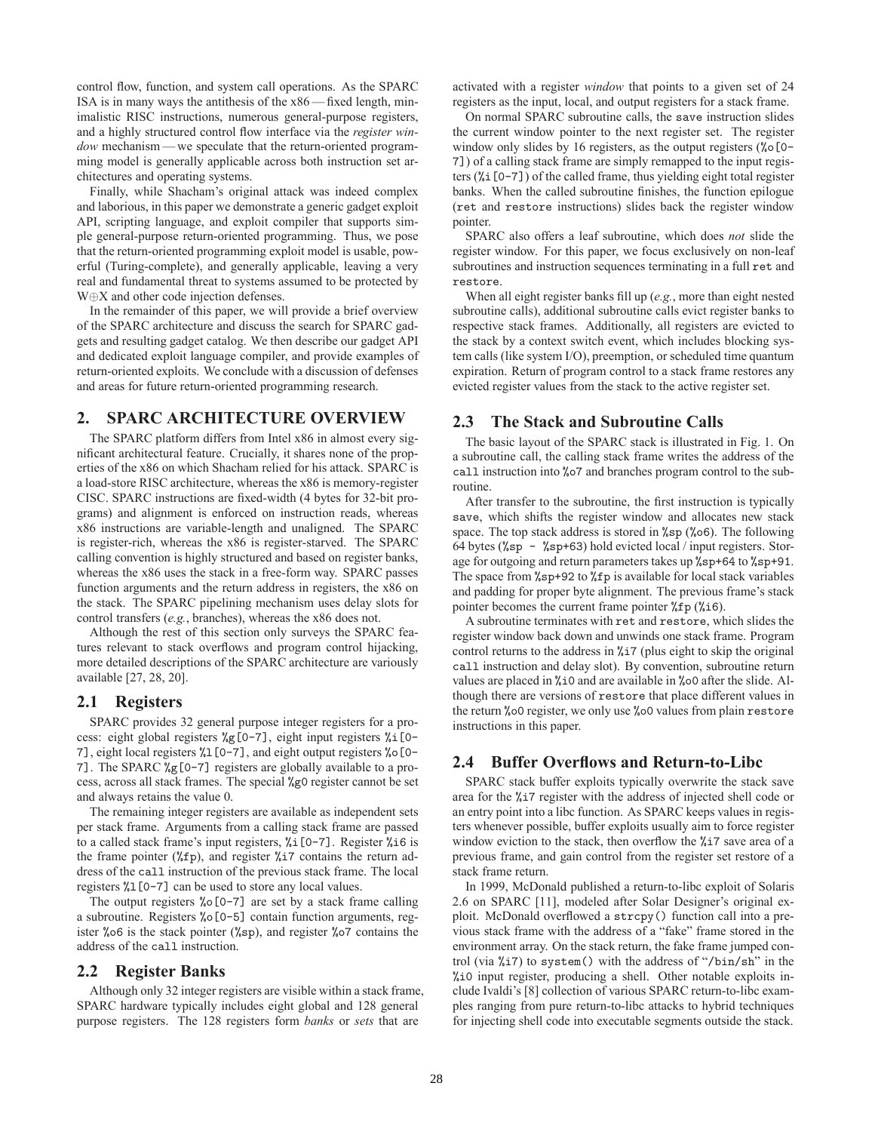control flow, function, and system call operations. As the SPARC ISA is in many ways the antithesis of the x86 — fixed length, minimalistic RISC instructions, numerous general-purpose registers, and a highly structured control flow interface via the *register window* mechanism — we speculate that the return-oriented programming model is generally applicable across both instruction set architectures and operating systems.

Finally, while Shacham's original attack was indeed complex and laborious, in this paper we demonstrate a generic gadget exploit API, scripting language, and exploit compiler that supports simple general-purpose return-oriented programming. Thus, we pose that the return-oriented programming exploit model is usable, powerful (Turing-complete), and generally applicable, leaving a very real and fundamental threat to systems assumed to be protected by W⊕X and other code injection defenses.

In the remainder of this paper, we will provide a brief overview of the SPARC architecture and discuss the search for SPARC gadgets and resulting gadget catalog. We then describe our gadget API and dedicated exploit language compiler, and provide examples of return-oriented exploits. We conclude with a discussion of defenses and areas for future return-oriented programming research.

# **2. SPARC ARCHITECTURE OVERVIEW**

The SPARC platform differs from Intel x86 in almost every significant architectural feature. Crucially, it shares none of the properties of the x86 on which Shacham relied for his attack. SPARC is a load-store RISC architecture, whereas the x86 is memory-register CISC. SPARC instructions are fixed-width (4 bytes for 32-bit programs) and alignment is enforced on instruction reads, whereas x86 instructions are variable-length and unaligned. The SPARC is register-rich, whereas the x86 is register-starved. The SPARC calling convention is highly structured and based on register banks, whereas the x86 uses the stack in a free-form way. SPARC passes function arguments and the return address in registers, the x86 on the stack. The SPARC pipelining mechanism uses delay slots for control transfers (*e.g.*, branches), whereas the x86 does not.

Although the rest of this section only surveys the SPARC features relevant to stack overflows and program control hijacking, more detailed descriptions of the SPARC architecture are variously available [27, 28, 20].

#### **2.1 Registers**

SPARC provides 32 general purpose integer registers for a process: eight global registers %g[0-7], eight input registers %i[0-7], eight local registers %l[0-7], and eight output registers %o[0- 7]. The SPARC %g[0-7] registers are globally available to a process, across all stack frames. The special %g0 register cannot be set and always retains the value 0.

The remaining integer registers are available as independent sets per stack frame. Arguments from a calling stack frame are passed to a called stack frame's input registers,  $\frac{\pi}{2}$  [0-7]. Register  $\frac{\pi}{6}$  is the frame pointer  $(\frac{1}{2}f\mathbf{p})$ , and register  $\frac{1}{2}i7$  contains the return address of the call instruction of the previous stack frame. The local registers  $\lambda$ 1[0-7] can be used to store any local values.

The output registers  $\%$  [0-7] are set by a stack frame calling a subroutine. Registers %o[0-5] contain function arguments, register %o6 is the stack pointer (%sp), and register %o7 contains the address of the call instruction.

#### **2.2 Register Banks**

Although only 32 integer registers are visible within a stack frame, SPARC hardware typically includes eight global and 128 general purpose registers. The 128 registers form *banks* or *sets* that are

activated with a register *window* that points to a given set of 24 registers as the input, local, and output registers for a stack frame.

On normal SPARC subroutine calls, the save instruction slides the current window pointer to the next register set. The register window only slides by 16 registers, as the output registers  $\frac{\%}{\%}$  [0-7]) of a calling stack frame are simply remapped to the input registers ( $\frac{1}{2}$ [0-7]) of the called frame, thus yielding eight total register banks. When the called subroutine finishes, the function epilogue (ret and restore instructions) slides back the register window pointer.

SPARC also offers a leaf subroutine, which does *not* slide the register window. For this paper, we focus exclusively on non-leaf subroutines and instruction sequences terminating in a full ret and restore.

When all eight register banks fill up (*e.g.*, more than eight nested subroutine calls), additional subroutine calls evict register banks to respective stack frames. Additionally, all registers are evicted to the stack by a context switch event, which includes blocking system calls (like system I/O), preemption, or scheduled time quantum expiration. Return of program control to a stack frame restores any evicted register values from the stack to the active register set.

## **2.3 The Stack and Subroutine Calls**

The basic layout of the SPARC stack is illustrated in Fig. 1. On a subroutine call, the calling stack frame writes the address of the call instruction into %o7 and branches program control to the subroutine.

After transfer to the subroutine, the first instruction is typically save, which shifts the register window and allocates new stack space. The top stack address is stored in %sp (%o6). The following 64 bytes ( $\frac{1}{2}$ sp -  $\frac{1}{2}$ sp+63) hold evicted local / input registers. Storage for outgoing and return parameters takes up %sp+64 to %sp+91. The space from %sp+92 to %fp is available for local stack variables and padding for proper byte alignment. The previous frame's stack pointer becomes the current frame pointer %fp (%i6).

A subroutine terminates with ret and restore, which slides the register window back down and unwinds one stack frame. Program control returns to the address in %i7 (plus eight to skip the original call instruction and delay slot). By convention, subroutine return values are placed in %i0 and are available in %o0 after the slide. Although there are versions of restore that place different values in the return %o0 register, we only use %o0 values from plain restore instructions in this paper.

## **2.4 Buffer Overflows and Return-to-Libc**

SPARC stack buffer exploits typically overwrite the stack save area for the %i7 register with the address of injected shell code or an entry point into a libc function. As SPARC keeps values in registers whenever possible, buffer exploits usually aim to force register window eviction to the stack, then overflow the  $\frac{1}{2}$  save area of a previous frame, and gain control from the register set restore of a stack frame return.

In 1999, McDonald published a return-to-libc exploit of Solaris 2.6 on SPARC [11], modeled after Solar Designer's original exploit. McDonald overflowed a strcpy() function call into a previous stack frame with the address of a "fake" frame stored in the environment array. On the stack return, the fake frame jumped control (via %i7) to system() with the address of "/bin/sh" in the %i0 input register, producing a shell. Other notable exploits include Ivaldi's [8] collection of various SPARC return-to-libc examples ranging from pure return-to-libc attacks to hybrid techniques for injecting shell code into executable segments outside the stack.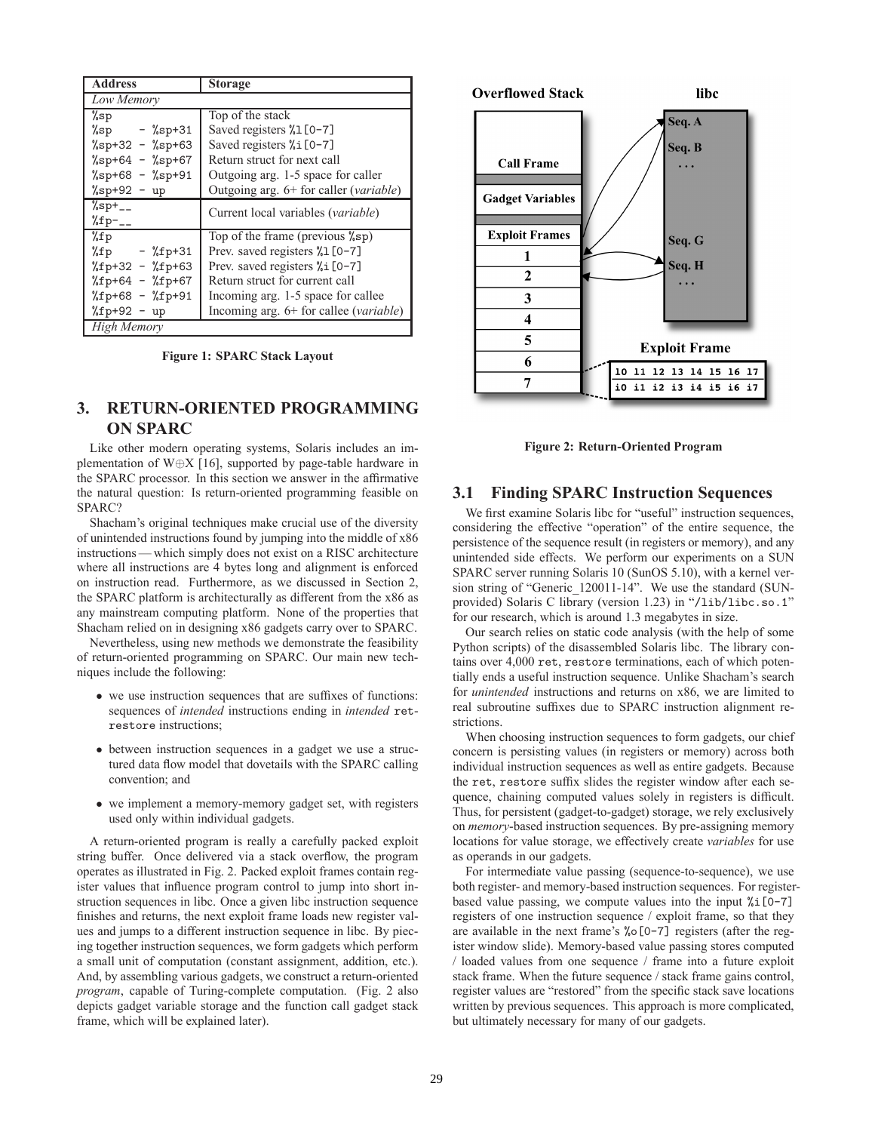| <b>Address</b>                             | <b>Storage</b>                                    |
|--------------------------------------------|---------------------------------------------------|
| Low Memory                                 |                                                   |
| %sp                                        | Top of the stack                                  |
| $\%$ sp - $\%$ sp+31                       | Saved registers %1 [0-7]                          |
| $\%$ sp+32 - $\%$ sp+63                    | Saved registers % i [0-7]                         |
| $\%$ sp+64 - $\%$ sp+67                    | Return struct for next call                       |
| $%$ sp+68 - $%$ sp+91                      | Outgoing arg. 1-5 space for caller                |
| $\frac{\%}{\%5p+92}$ - up                  | Outgoing arg. $6+$ for caller ( <i>variable</i> ) |
| $\%$ sp+__                                 | Current local variables ( <i>variable</i> )       |
| $%fp-$                                     |                                                   |
| %fp                                        | Top of the frame (previous $\%$ sp)               |
| $\chi_{\text{fp}}$ - $\chi_{\text{fp}+31}$ | Prev. saved registers %1 [0-7]                    |
| $%fp+32 - %fp+63$                          | Prev. saved registers % i [0-7]                   |
| $%$ fp+64 - $%$ fp+67                      | Return struct for current call                    |
| $%$ fp+68 - $%$ fp+91                      | Incoming arg. 1-5 space for callee                |
| $%$ fp+92 - up                             | Incoming arg. $6+$ for callee ( <i>variable</i> ) |
| <b>High Memory</b>                         |                                                   |

**Figure 1: SPARC Stack Layout**

# **3. RETURN-ORIENTED PROGRAMMING ON SPARC**

Like other modern operating systems, Solaris includes an implementation of W⊕X [16], supported by page-table hardware in the SPARC processor. In this section we answer in the affirmative the natural question: Is return-oriented programming feasible on SPARC?

Shacham's original techniques make crucial use of the diversity of unintended instructions found by jumping into the middle of x86 instructions — which simply does not exist on a RISC architecture where all instructions are 4 bytes long and alignment is enforced on instruction read. Furthermore, as we discussed in Section 2, the SPARC platform is architecturally as different from the x86 as any mainstream computing platform. None of the properties that Shacham relied on in designing x86 gadgets carry over to SPARC.

Nevertheless, using new methods we demonstrate the feasibility of return-oriented programming on SPARC. Our main new techniques include the following:

- we use instruction sequences that are suffixes of functions: sequences of *intended* instructions ending in *intended* retrestore instructions;
- between instruction sequences in a gadget we use a structured data flow model that dovetails with the SPARC calling convention; and
- we implement a memory-memory gadget set, with registers used only within individual gadgets.

A return-oriented program is really a carefully packed exploit string buffer. Once delivered via a stack overflow, the program operates as illustrated in Fig. 2. Packed exploit frames contain register values that influence program control to jump into short instruction sequences in libc. Once a given libc instruction sequence finishes and returns, the next exploit frame loads new register values and jumps to a different instruction sequence in libc. By piecing together instruction sequences, we form gadgets which perform a small unit of computation (constant assignment, addition, etc.). And, by assembling various gadgets, we construct a return-oriented *program*, capable of Turing-complete computation. (Fig. 2 also depicts gadget variable storage and the function call gadget stack frame, which will be explained later).



**Figure 2: Return-Oriented Program**

# **3.1 Finding SPARC Instruction Sequences**

We first examine Solaris libc for "useful" instruction sequences, considering the effective "operation" of the entire sequence, the persistence of the sequence result (in registers or memory), and any unintended side effects. We perform our experiments on a SUN SPARC server running Solaris 10 (SunOS 5.10), with a kernel version string of "Generic\_120011-14". We use the standard (SUNprovided) Solaris C library (version 1.23) in "/lib/libc.so.1" for our research, which is around 1.3 megabytes in size.

Our search relies on static code analysis (with the help of some Python scripts) of the disassembled Solaris libc. The library contains over 4,000 ret, restore terminations, each of which potentially ends a useful instruction sequence. Unlike Shacham's search for *unintended* instructions and returns on x86, we are limited to real subroutine suffixes due to SPARC instruction alignment restrictions.

When choosing instruction sequences to form gadgets, our chief concern is persisting values (in registers or memory) across both individual instruction sequences as well as entire gadgets. Because the ret, restore suffix slides the register window after each sequence, chaining computed values solely in registers is difficult. Thus, for persistent (gadget-to-gadget) storage, we rely exclusively on *memory*-based instruction sequences. By pre-assigning memory locations for value storage, we effectively create *variables* for use as operands in our gadgets.

For intermediate value passing (sequence-to-sequence), we use both register- and memory-based instruction sequences. For registerbased value passing, we compute values into the input  $\frac{\pi}{6}$ [0-7] registers of one instruction sequence / exploit frame, so that they are available in the next frame's %o[0-7] registers (after the register window slide). Memory-based value passing stores computed / loaded values from one sequence / frame into a future exploit stack frame. When the future sequence / stack frame gains control, register values are "restored" from the specific stack save locations written by previous sequences. This approach is more complicated, but ultimately necessary for many of our gadgets.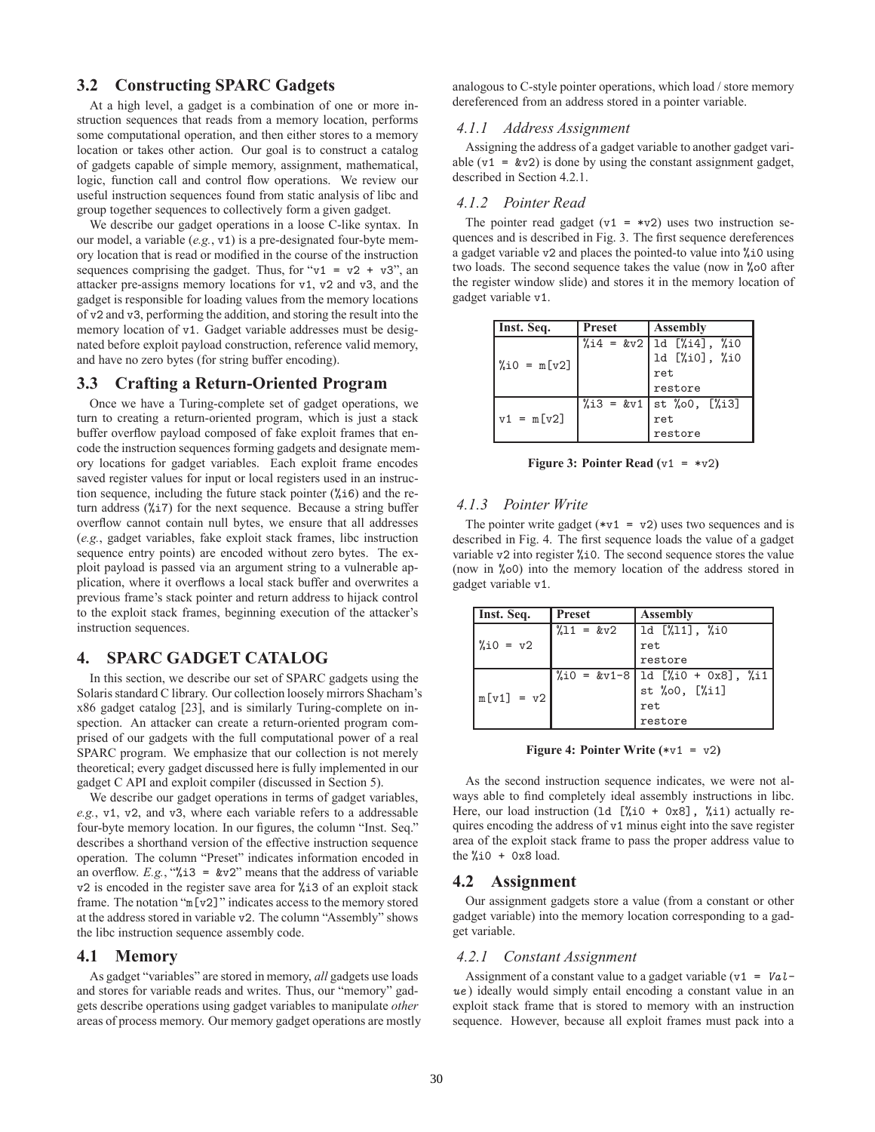# **3.2 Constructing SPARC Gadgets**

At a high level, a gadget is a combination of one or more instruction sequences that reads from a memory location, performs some computational operation, and then either stores to a memory location or takes other action. Our goal is to construct a catalog of gadgets capable of simple memory, assignment, mathematical, logic, function call and control flow operations. We review our useful instruction sequences found from static analysis of libc and group together sequences to collectively form a given gadget.

We describe our gadget operations in a loose C-like syntax. In our model, a variable (*e.g.*, v1) is a pre-designated four-byte memory location that is read or modified in the course of the instruction sequences comprising the gadget. Thus, for " $v1 = v2 + v3$ ", an attacker pre-assigns memory locations for v1, v2 and v3, and the gadget is responsible for loading values from the memory locations of v2 and v3, performing the addition, and storing the result into the memory location of v1. Gadget variable addresses must be designated before exploit payload construction, reference valid memory, and have no zero bytes (for string buffer encoding).

## **3.3 Crafting a Return-Oriented Program**

Once we have a Turing-complete set of gadget operations, we turn to creating a return-oriented program, which is just a stack buffer overflow payload composed of fake exploit frames that encode the instruction sequences forming gadgets and designate memory locations for gadget variables. Each exploit frame encodes saved register values for input or local registers used in an instruction sequence, including the future stack pointer (%i6) and the return address  $(\frac{1}{2}7)$  for the next sequence. Because a string buffer overflow cannot contain null bytes, we ensure that all addresses (*e.g.*, gadget variables, fake exploit stack frames, libc instruction sequence entry points) are encoded without zero bytes. The exploit payload is passed via an argument string to a vulnerable application, where it overflows a local stack buffer and overwrites a previous frame's stack pointer and return address to hijack control to the exploit stack frames, beginning execution of the attacker's instruction sequences.

# **4. SPARC GADGET CATALOG**

In this section, we describe our set of SPARC gadgets using the Solaris standard C library. Our collection loosely mirrors Shacham's x86 gadget catalog [23], and is similarly Turing-complete on inspection. An attacker can create a return-oriented program comprised of our gadgets with the full computational power of a real SPARC program. We emphasize that our collection is not merely theoretical; every gadget discussed here is fully implemented in our gadget C API and exploit compiler (discussed in Section 5).

We describe our gadget operations in terms of gadget variables, *e.g.*, v1, v2, and v3, where each variable refers to a addressable four-byte memory location. In our figures, the column "Inst. Seq." describes a shorthand version of the effective instruction sequence operation. The column "Preset" indicates information encoded in an overflow. *E.g.*, " $\lambda$ **i3** =  $\&\text{v2}$ " means that the address of variable v2 is encoded in the register save area for %i3 of an exploit stack frame. The notation "m[v2]" indicates access to the memory stored at the address stored in variable v2. The column "Assembly" shows the libc instruction sequence assembly code.

#### **4.1 Memory**

As gadget "variables" are stored in memory, *all* gadgets use loads and stores for variable reads and writes. Thus, our "memory" gadgets describe operations using gadget variables to manipulate *other* areas of process memory. Our memory gadget operations are mostly analogous to C-style pointer operations, which load / store memory dereferenced from an address stored in a pointer variable.

#### *4.1.1 Address Assignment*

Assigning the address of a gadget variable to another gadget variable ( $v1 = kv2$ ) is done by using the constant assignment gadget, described in Section 4.2.1.

#### *4.1.2 Pointer Read*

The pointer read gadget  $(v1 = *v2)$  uses two instruction sequences and is described in Fig. 3. The first sequence dereferences a gadget variable v2 and places the pointed-to value into %i0 using two loads. The second sequence takes the value (now in %o0 after the register window slide) and stores it in the memory location of gadget variable v1.

| Inst. Seq.             | <b>Preset</b><br><b>Assembly</b> |                                               |  |
|------------------------|----------------------------------|-----------------------------------------------|--|
| $\sqrt[6]{i0} = m[v2]$ |                                  | %i4 = &v2 d [%i4], %i0<br>d [%i0], %i0<br>ret |  |
|                        |                                  | restore                                       |  |
| $v1 = m[v2]$           |                                  | $%i3 = kv1$ st $%o0,$ [%i3]<br>ret            |  |
|                        |                                  | restore                                       |  |

**Figure 3: Pointer Read (** $v1 = v2$ **)** 

#### *4.1.3 Pointer Write*

The pointer write gadget ( $*v1 = v2$ ) uses two sequences and is described in Fig. 4. The first sequence loads the value of a gadget variable v2 into register %i0. The second sequence stores the value (now in %o0) into the memory location of the address stored in gadget variable v1.

| Inst. Seq.               | <b>Preset</b>     | <b>Assembly</b>                                      |  |
|--------------------------|-------------------|------------------------------------------------------|--|
|                          | $\sqrt{11} = xv2$ | $ Id$ $[\%11]$ , $\%i0$                              |  |
| $\frac{\%i0}{\%i0} = v2$ |                   | ret                                                  |  |
|                          |                   | restore                                              |  |
|                          |                   |                                                      |  |
| $m[v1] = v2$             |                   | %i0 = &v1-8   ld [%i0 + 0x8], %i1<br>  st %00, [%i1] |  |
|                          |                   | ret                                                  |  |
|                          |                   | restore                                              |  |

**Figure 4: Pointer Write**  $(*v1 = v2)$ 

As the second instruction sequence indicates, we were not always able to find completely ideal assembly instructions in libc. Here, our load instruction (1d  $[\%i0 + 0x8]$ ,  $\%i1$ ) actually requires encoding the address of v1 minus eight into the save register area of the exploit stack frame to pass the proper address value to the  $%i0 + 0x8$  load.

## **4.2 Assignment**

Our assignment gadgets store a value (from a constant or other gadget variable) into the memory location corresponding to a gadget variable.

#### *4.2.1 Constant Assignment*

Assignment of a constant value to a gadget variable  $(v1 = Val$ ue ) ideally would simply entail encoding a constant value in an exploit stack frame that is stored to memory with an instruction sequence. However, because all exploit frames must pack into a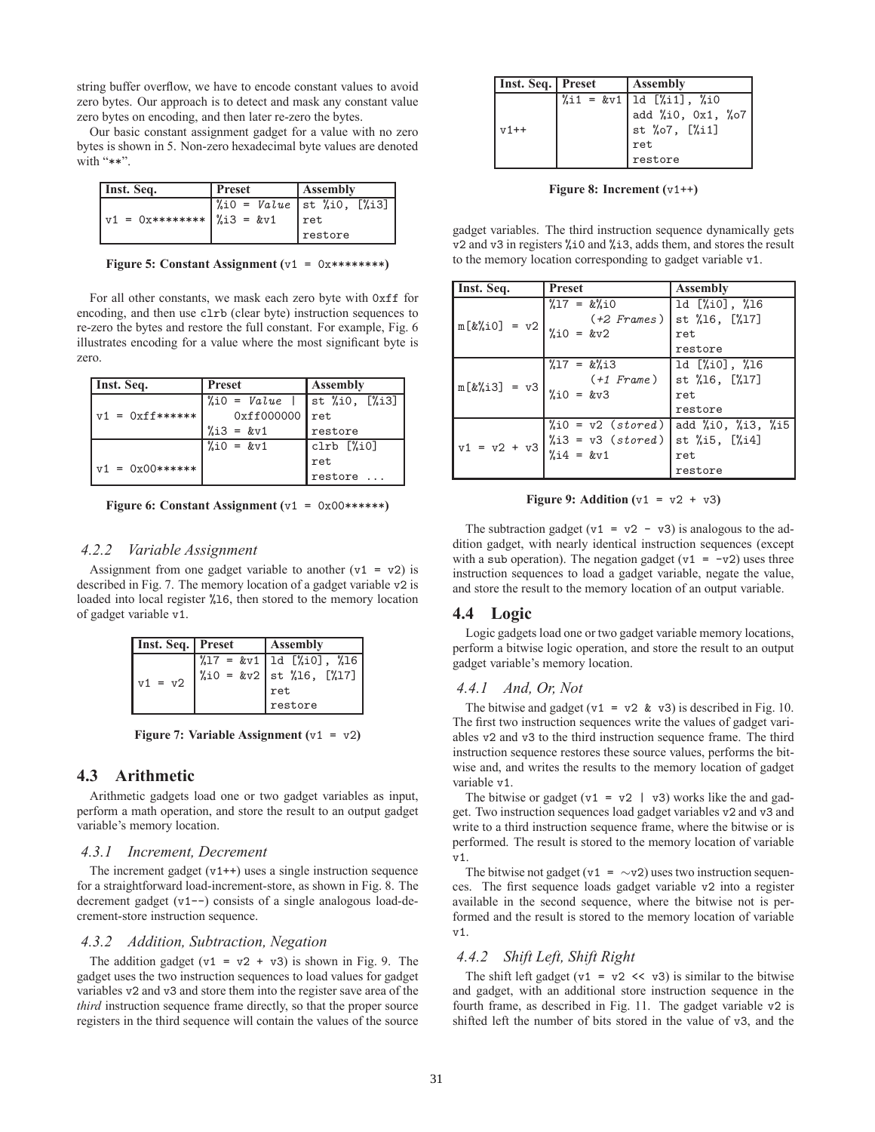string buffer overflow, we have to encode constant values to avoid zero bytes. Our approach is to detect and mask any constant value zero bytes on encoding, and then later re-zero the bytes.

Our basic constant assignment gadget for a value with no zero bytes is shown in 5. Non-zero hexadecimal byte values are denoted with "\*\*".

| Inst. Seq.                    | <b>Preset</b> | <b>Assembly</b>             |
|-------------------------------|---------------|-----------------------------|
|                               |               | $%i0 = Value$ st %i0, [%i3] |
| $v1 = 0x********$ $%i3 = kv1$ |               | l ret                       |
|                               |               | restore                     |

**Figure 5: Constant Assignment**  $(v1 = 0x********)$ 

For all other constants, we mask each zero byte with 0xff for encoding, and then use clrb (clear byte) instruction sequences to re-zero the bytes and restore the full constant. For example, Fig. 6 illustrates encoding for a value where the most significant byte is zero.

| Inst. Seq.        | <b>Preset</b>                                     | <b>Assembly</b> |
|-------------------|---------------------------------------------------|-----------------|
|                   | $\%$ i0 = <i>Value</i>     st $\%$ i0, [ $\%$ i3] |                 |
| $v1 = 0xff******$ | 0xff000000                                        | ret             |
|                   | $%i3 = kv1$                                       | restore         |
|                   | $%i0 = kv1$                                       | $clrb$ $[\%i0]$ |
| $v1 = 0x00******$ |                                                   | ret             |
|                   |                                                   | restore         |

Figure 6: Constant Assignment  $(v1 = 0x00******)$ 

#### *4.2.2 Variable Assignment*

Assignment from one gadget variable to another  $(v1 = v2)$  is described in Fig. 7. The memory location of a gadget variable v2 is loaded into local register %l6, then stored to the memory location of gadget variable v1.

| Inst. Seq.   Preset | Assembly                                                              |  |
|---------------------|-----------------------------------------------------------------------|--|
|                     |                                                                       |  |
| $v1 = v2$           | $\sqrt[6]{10} = \sqrt[6]{2} \text{ st } \sqrt[6]{16}, [\sqrt[6]{17}]$ |  |
|                     | ret                                                                   |  |
|                     | restore                                                               |  |

**Figure 7: Variable Assignment (** $v1 = v2$ **)** 

## **4.3 Arithmetic**

Arithmetic gadgets load one or two gadget variables as input, perform a math operation, and store the result to an output gadget variable's memory location.

#### *4.3.1 Increment, Decrement*

The increment gadget  $(v1++)$  uses a single instruction sequence for a straightforward load-increment-store, as shown in Fig. 8. The decrement gadget (v1--) consists of a single analogous load-decrement-store instruction sequence.

#### *4.3.2 Addition, Subtraction, Negation*

The addition gadget  $(v1 = v2 + v3)$  is shown in Fig. 9. The gadget uses the two instruction sequences to load values for gadget variables v2 and v3 and store them into the register save area of the *third* instruction sequence frame directly, so that the proper source registers in the third sequence will contain the values of the source

| Inst. Seq.   Preset | Assembly                                                                                                  |
|---------------------|-----------------------------------------------------------------------------------------------------------|
| $v1++$              | $\sqrt[6]{i1} = kv1 \mid Id \; [\sqrt[6]{i1}], \sqrt[6]{i0}$<br>add %i0, 0x1, %o7<br>st %07, [%i1]<br>ret |
|                     | restore                                                                                                   |

**Figure 8: Increment (**v1++**)**

gadget variables. The third instruction sequence dynamically gets v2 and v3 in registers %i0 and %i3, adds them, and stores the result to the memory location corresponding to gadget variable v1.

| Inst. Seq.               | <b>Preset</b>                                                                                                                                             | <b>Assembly</b>          |
|--------------------------|-----------------------------------------------------------------------------------------------------------------------------------------------------------|--------------------------|
| $m[\&\%i0] = v2 \Big _y$ | $217 = x2i0$<br>( <i>+2 Frames</i> )  st %16, [%17]                                                                                                       | ld [%i0], %16            |
|                          | $%i0 = kv2$                                                                                                                                               | ret<br>restore           |
|                          | $217 = x2 \cdot 3$<br>$m[k\%i3] = v3 \n\begin{cases} \n( + 1 \text{ Frame}) & \text{st } \$16, [\%17] \\ %i0 = kv3 & \text{ret} \n\end{cases}$            | ld [%i0], %16<br>restore |
|                          | $\%$ i0 = v2 (stored)   add $\%$ i0, $\%$ i3, $\%$ i5<br>$vt = v2 + v3 \begin{bmatrix} \%13 = v3 & (stored) \\ \%14 = kvt \end{bmatrix}$ st \{i5, [\{i4]} | restore                  |



The subtraction gadget ( $v1 = v2 - v3$ ) is analogous to the addition gadget, with nearly identical instruction sequences (except with a sub operation). The negation gadget ( $v1 = -v2$ ) uses three instruction sequences to load a gadget variable, negate the value, and store the result to the memory location of an output variable.

#### **4.4 Logic**

Logic gadgets load one or two gadget variable memory locations, perform a bitwise logic operation, and store the result to an output gadget variable's memory location.

#### *4.4.1 And, Or, Not*

The bitwise and gadget ( $v1 = v2$  & v3) is described in Fig. 10. The first two instruction sequences write the values of gadget variables v2 and v3 to the third instruction sequence frame. The third instruction sequence restores these source values, performs the bitwise and, and writes the results to the memory location of gadget variable v1.

The bitwise or gadget ( $v1 = v2$  | v3) works like the and gadget. Two instruction sequences load gadget variables v2 and v3 and write to a third instruction sequence frame, where the bitwise or is performed. The result is stored to the memory location of variable v1.

The bitwise not gadget (v1 =  $\sim$ v2) uses two instruction sequences. The first sequence loads gadget variable v2 into a register available in the second sequence, where the bitwise not is performed and the result is stored to the memory location of variable v1.

#### *4.4.2 Shift Left, Shift Right*

The shift left gadget  $(v1 = v2 \le v3)$  is similar to the bitwise and gadget, with an additional store instruction sequence in the fourth frame, as described in Fig. 11. The gadget variable v2 is shifted left the number of bits stored in the value of v3, and the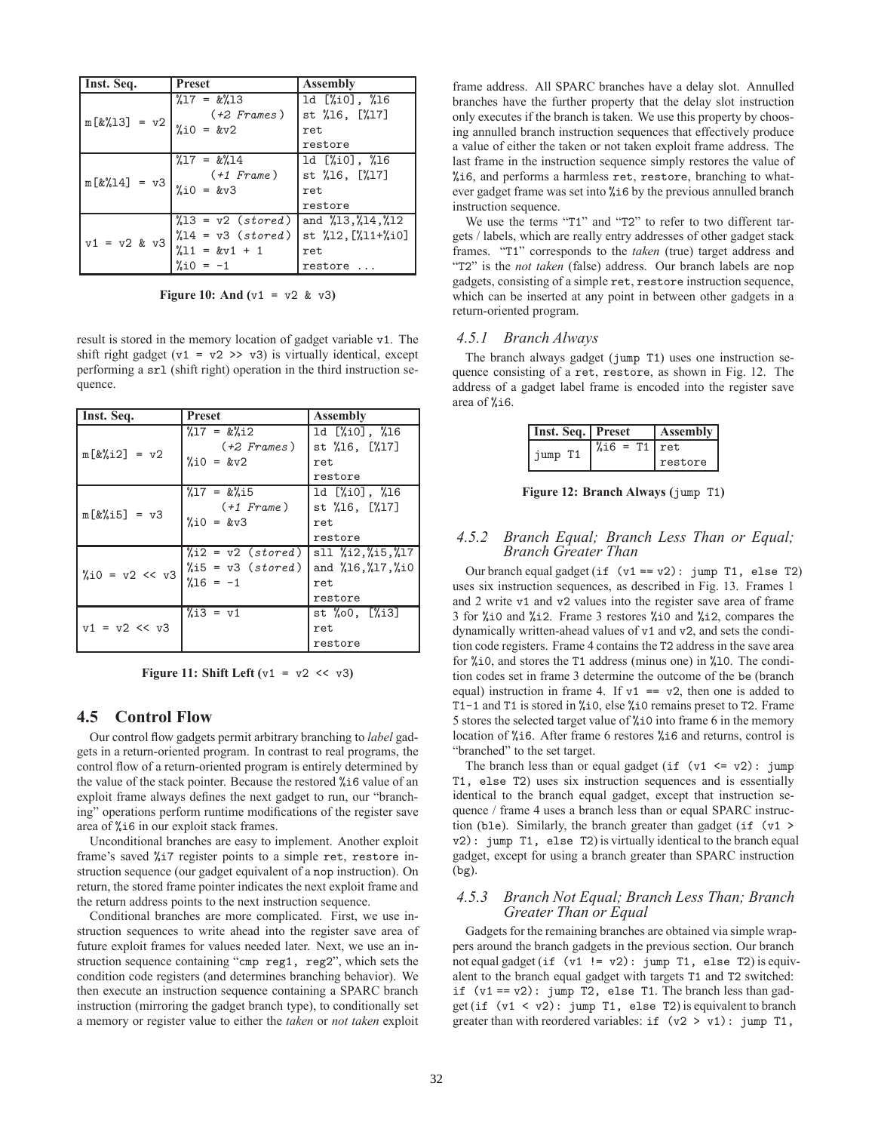| Inst. Seq.       | <b>Preset</b>                                                                                                                                         | <b>Assembly</b>                                    |
|------------------|-------------------------------------------------------------------------------------------------------------------------------------------------------|----------------------------------------------------|
| $m[x\,23] = v2$  | $217 = x213$<br>$(+2$ Frames)<br>$\sqrt[6]{10} = kv2$                                                                                                 | ld [%i0], %16<br>st %16, [%17]<br>ret<br>restore   |
| $m[x\%14] = v3$  | $217 = x214$<br>$(+1$ Frame)<br>$%i0 = kv3$                                                                                                           | ld [%i0], %16<br>st %16, [%17]<br>ret<br>restore   |
| $v1 = v2$ & $v3$ | $\frac{13}{13}$ = v2 (stored) and $\frac{13}{13},\frac{14}{14},\frac{12}{12}$<br>$\sqrt[6]{14} = v3$ (stored)<br>$\sqrt{11} = \&\text{v1} + 1$<br>%i0 | $\mathbf{st}$ %12, $[\%11+\%10]$<br>ret<br>restore |

**Figure 10: And (**v1 = v2 & v3**)**

result is stored in the memory location of gadget variable v1. The shift right gadget ( $v1 = v2 \gg v3$ ) is virtually identical, except performing a srl (shift right) operation in the third instruction sequence.

| Inst. Seq.        | <b>Preset</b>                | <b>Assembly</b>         |
|-------------------|------------------------------|-------------------------|
|                   | $217 = x2i$                  | ld [%i0], %16           |
| $m[x\&i2] = v2$   | $(+2$ Frames)                | st %16, [%17]           |
|                   | $\sqrt[6]{10} = xv2$         | ret                     |
|                   |                              | restore                 |
|                   | $217 = x2.15$                | ld [%i0], %16           |
| $m[x\%i5] = v3$   | $(+1$ Frame)                 | st %16, [%17]           |
|                   | $%i0 = kv3$                  | ret                     |
|                   |                              | restore                 |
|                   | $\frac{9}{12}$ = v2 (stored) | sll %i2,%i5,%17         |
| $%i0 = v2 \lt v3$ | $\sqrt[6]{15}$ = v3 (stored) | and $%16,$ $%17,$ $%10$ |
|                   | $216 = -1$                   | ret                     |
|                   |                              | restore                 |
|                   | $\frac{\%}{3} = v1$          | $st$ %00, $[\%i3]$      |
| $v1 = v2 \le v3$  |                              | ret                     |
|                   |                              | restore                 |

**Figure 11: Shift Left (**v1 = v2 << v3**)**

## **4.5 Control Flow**

Our control flow gadgets permit arbitrary branching to *label* gadgets in a return-oriented program. In contrast to real programs, the control flow of a return-oriented program is entirely determined by the value of the stack pointer. Because the restored %i6 value of an exploit frame always defines the next gadget to run, our "branching" operations perform runtime modifications of the register save area of %i6 in our exploit stack frames.

Unconditional branches are easy to implement. Another exploit frame's saved %i7 register points to a simple ret, restore instruction sequence (our gadget equivalent of a nop instruction). On return, the stored frame pointer indicates the next exploit frame and the return address points to the next instruction sequence.

Conditional branches are more complicated. First, we use instruction sequences to write ahead into the register save area of future exploit frames for values needed later. Next, we use an instruction sequence containing "cmp reg1, reg2", which sets the condition code registers (and determines branching behavior). We then execute an instruction sequence containing a SPARC branch instruction (mirroring the gadget branch type), to conditionally set a memory or register value to either the *taken* or *not taken* exploit frame address. All SPARC branches have a delay slot. Annulled branches have the further property that the delay slot instruction only executes if the branch is taken. We use this property by choosing annulled branch instruction sequences that effectively produce a value of either the taken or not taken exploit frame address. The last frame in the instruction sequence simply restores the value of %i6, and performs a harmless ret, restore, branching to whatever gadget frame was set into %i6 by the previous annulled branch instruction sequence.

We use the terms "T1" and "T2" to refer to two different targets / labels, which are really entry addresses of other gadget stack frames. "T1" corresponds to the *taken* (true) target address and "T2" is the *not taken* (false) address. Our branch labels are nop gadgets, consisting of a simple ret, restore instruction sequence, which can be inserted at any point in between other gadgets in a return-oriented program.

### *4.5.1 Branch Always*

The branch always gadget (jump T1) uses one instruction sequence consisting of a ret, restore, as shown in Fig. 12. The address of a gadget label frame is encoded into the register save area of %i6.

| Inst. Seq.   Preset |                | <b>Assembly</b> |
|---------------------|----------------|-----------------|
| jump                | $%i6 = T1$ ret |                 |
|                     |                | restore         |

**Figure 12: Branch Always (**jump T1**)**

## *4.5.2 Branch Equal; Branch Less Than or Equal; Branch Greater Than*

Our branch equal gadget (if  $(v1 == v2)$ : jump T1, else T2) uses six instruction sequences, as described in Fig. 13. Frames 1 and 2 write v1 and v2 values into the register save area of frame 3 for %i0 and %i2. Frame 3 restores %i0 and %i2, compares the dynamically written-ahead values of v1 and v2, and sets the condition code registers. Frame 4 contains the T2 address in the save area for %i0, and stores the T1 address (minus one) in %l0. The condition codes set in frame 3 determine the outcome of the be (branch equal) instruction in frame 4. If  $v1 == v2$ , then one is added to T1-1 and T1 is stored in %i0, else %i0 remains preset to T2. Frame 5 stores the selected target value of %i0 into frame 6 in the memory location of %i6. After frame 6 restores %i6 and returns, control is "branched" to the set target.

The branch less than or equal gadget (if  $(v1 \le v2)$ : jump T1, else T2) uses six instruction sequences and is essentially identical to the branch equal gadget, except that instruction sequence / frame 4 uses a branch less than or equal SPARC instruction (ble). Similarly, the branch greater than gadget (if (v1 > v2): jump T1, else T2) is virtually identical to the branch equal gadget, except for using a branch greater than SPARC instruction (bg).

## *4.5.3 Branch Not Equal; Branch Less Than; Branch Greater Than or Equal*

Gadgets for the remaining branches are obtained via simple wrappers around the branch gadgets in the previous section. Our branch not equal gadget (if  $(v1 := v2)$ : jump T1, else T2) is equivalent to the branch equal gadget with targets T1 and T2 switched: if (v1 == v2): jump T2, else T1. The branch less than gadget (if (v1 < v2): jump T1, else T2) is equivalent to branch greater than with reordered variables: if  $(v2 > v1)$ : jump T1,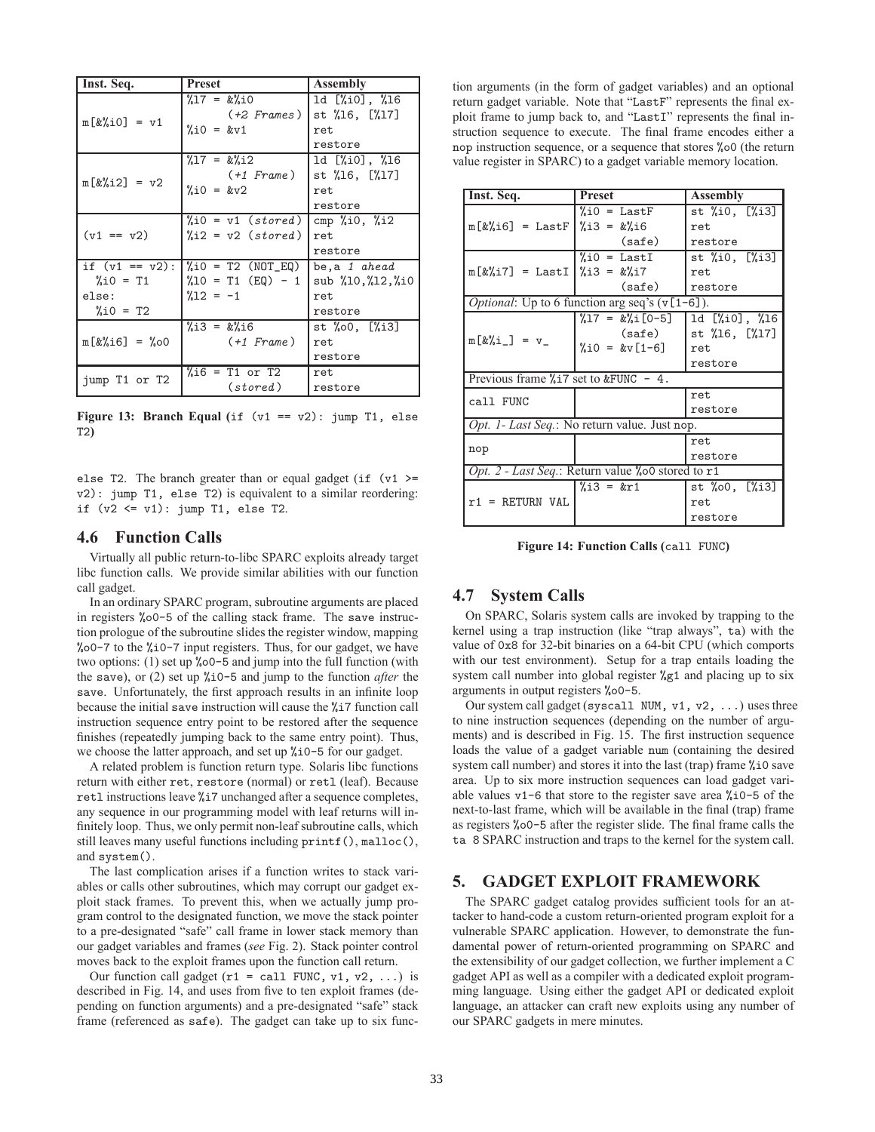| Inst. Seq.             | Preset                                        | <b>Assembly</b> |
|------------------------|-----------------------------------------------|-----------------|
|                        | $217 = x2i0$                                  | ld [%i0], %16   |
| $m[x\%i0] = v1$        | (+2 Frames) $\parallel$                       | st %16, [%17]   |
|                        | $\frac{\%}{\%10} = \&\text{v1}$               | ret             |
|                        |                                               | restore         |
|                        | $217 = x2i$                                   | ld [%i0], %16   |
| $m[x\text{\%}i2] = v2$ | $(+1 \;$ Frame $)$                            | st %16, [%17]   |
|                        | $\sqrt[6]{10} = xv2$                          | ret             |
|                        |                                               | restore         |
|                        | $%i0 = v1 (stored)$                           | cmp %i0, %i2    |
| $(v1 == v2)$           | $\sqrt[6]{12}$ = v2 (stored) ret              |                 |
|                        |                                               | restore         |
|                        | if $(v1 == v2) :   \&i0 = T2$ (NOT_EQ)        | be,a 1 ahead    |
| $\frac{\%}{10} = T1$   | $%10 = T1$ (EQ) - 1   sub $%10,$ $%12,$ $%10$ |                 |
| else:                  | $2 = -1$                                      | ret             |
| $\frac{\%}{10} = T2$   |                                               | restore         |
|                        | $%i3 = \&\%i6$                                | st %00, [%i3]   |
| $m[x\%i6] = \%00$      | $(+1 \; Frame)$                               | ret.            |
|                        |                                               | restore         |
| jump T1 or T2          | $%i6 = T1$ or T2                              | ret             |
|                        | $(\mathit{stored})$                           | restore         |

**Figure 13: Branch Equal (**if (v1 == v2): jump T1, else T2**)**

else T2. The branch greater than or equal gadget (if  $(v1$  >= v2): jump T1, else T2) is equivalent to a similar reordering: if  $(v2 \le v1)$ : jump T1, else T2.

## **4.6 Function Calls**

Virtually all public return-to-libc SPARC exploits already target libc function calls. We provide similar abilities with our function call gadget.

In an ordinary SPARC program, subroutine arguments are placed in registers %o0-5 of the calling stack frame. The save instruction prologue of the subroutine slides the register window, mapping %o0-7 to the %i0-7 input registers. Thus, for our gadget, we have two options: (1) set up %o0-5 and jump into the full function (with the save), or (2) set up %i0-5 and jump to the function *after* the save. Unfortunately, the first approach results in an infinite loop because the initial save instruction will cause the %i7 function call instruction sequence entry point to be restored after the sequence finishes (repeatedly jumping back to the same entry point). Thus, we choose the latter approach, and set up %i0-5 for our gadget.

A related problem is function return type. Solaris libc functions return with either ret, restore (normal) or retl (leaf). Because retl instructions leave %i7 unchanged after a sequence completes, any sequence in our programming model with leaf returns will infinitely loop. Thus, we only permit non-leaf subroutine calls, which still leaves many useful functions including printf(), malloc(), and system().

The last complication arises if a function writes to stack variables or calls other subroutines, which may corrupt our gadget exploit stack frames. To prevent this, when we actually jump program control to the designated function, we move the stack pointer to a pre-designated "safe" call frame in lower stack memory than our gadget variables and frames (*see* Fig. 2). Stack pointer control moves back to the exploit frames upon the function call return.

Our function call gadget ( $r1 = \text{call FUNC}, v1, v2, ...$ ) is described in Fig. 14, and uses from five to ten exploit frames (depending on function arguments) and a pre-designated "safe" stack frame (referenced as safe). The gadget can take up to six function arguments (in the form of gadget variables) and an optional return gadget variable. Note that "LastF" represents the final exploit frame to jump back to, and "LastI" represents the final instruction sequence to execute. The final frame encodes either a nop instruction sequence, or a sequence that stores %o0 (the return value register in SPARC) to a gadget variable memory location.

| <b>Inst.</b> Seq.                                         | <b>Preset</b>                             | <b>Assembly</b> |  |  |  |  |
|-----------------------------------------------------------|-------------------------------------------|-----------------|--|--|--|--|
| $m[x\text{\%i6}] = LastF$                                 | $%i0 = LastF$                             | st %i0, [%i3]   |  |  |  |  |
|                                                           | $\frac{213}{13} = \frac{215}{16}$         | ret             |  |  |  |  |
|                                                           | (safe)                                    | restore         |  |  |  |  |
|                                                           | $%i0 = LastI$                             | st %i0, [%i3]   |  |  |  |  |
| $m[x\&i7] = LastI \&i3 = \&i7$                            |                                           | ret             |  |  |  |  |
|                                                           | (safe)                                    | restore         |  |  |  |  |
| <i>Optional</i> : Up to 6 function arg seq's $(v[1-6])$ . |                                           |                 |  |  |  |  |
|                                                           | $\sqrt[6]{17} = \frac{k}{6} \cdot 10 - 5$ | ld [%i0], %16   |  |  |  |  |
| $m[x\%i_]=v_$                                             | (safe)                                    | st %16, [%17]   |  |  |  |  |
|                                                           | $%10 = kv[1-6]$                           | ret             |  |  |  |  |
|                                                           |                                           | restore         |  |  |  |  |
| Previous frame $\frac{6}{17}$ set to &FUNC - 4.           |                                           |                 |  |  |  |  |
| call FUNC                                                 |                                           | ret             |  |  |  |  |
|                                                           |                                           | restore         |  |  |  |  |
| Opt. 1- Last Seq.: No return value. Just nop.             |                                           |                 |  |  |  |  |
| nop                                                       |                                           | ret             |  |  |  |  |
|                                                           |                                           | restore         |  |  |  |  |
| Opt. 2 - Last Seq.: Return value %00 stored to r1         |                                           |                 |  |  |  |  |
|                                                           | $%i3 = kr1$                               | st %00, [%i3]   |  |  |  |  |
| $r1$ = RETURN VAL                                         |                                           | ret             |  |  |  |  |
|                                                           |                                           | restore         |  |  |  |  |

**Figure 14: Function Calls (**call FUNC**)**

## **4.7 System Calls**

On SPARC, Solaris system calls are invoked by trapping to the kernel using a trap instruction (like "trap always", ta) with the value of 0x8 for 32-bit binaries on a 64-bit CPU (which comports with our test environment). Setup for a trap entails loading the system call number into global register  $\frac{1}{2}$  and placing up to six arguments in output registers %o0-5.

Our system call gadget (syscall NUM,  $v1, v2, \ldots$ ) uses three to nine instruction sequences (depending on the number of arguments) and is described in Fig. 15. The first instruction sequence loads the value of a gadget variable num (containing the desired system call number) and stores it into the last (trap) frame  $\frac{1}{2}$  i 0 save area. Up to six more instruction sequences can load gadget variable values v1-6 that store to the register save area %i0-5 of the next-to-last frame, which will be available in the final (trap) frame as registers %o0-5 after the register slide. The final frame calls the ta 8 SPARC instruction and traps to the kernel for the system call.

# **5. GADGET EXPLOIT FRAMEWORK**

The SPARC gadget catalog provides sufficient tools for an attacker to hand-code a custom return-oriented program exploit for a vulnerable SPARC application. However, to demonstrate the fundamental power of return-oriented programming on SPARC and the extensibility of our gadget collection, we further implement a C gadget API as well as a compiler with a dedicated exploit programming language. Using either the gadget API or dedicated exploit language, an attacker can craft new exploits using any number of our SPARC gadgets in mere minutes.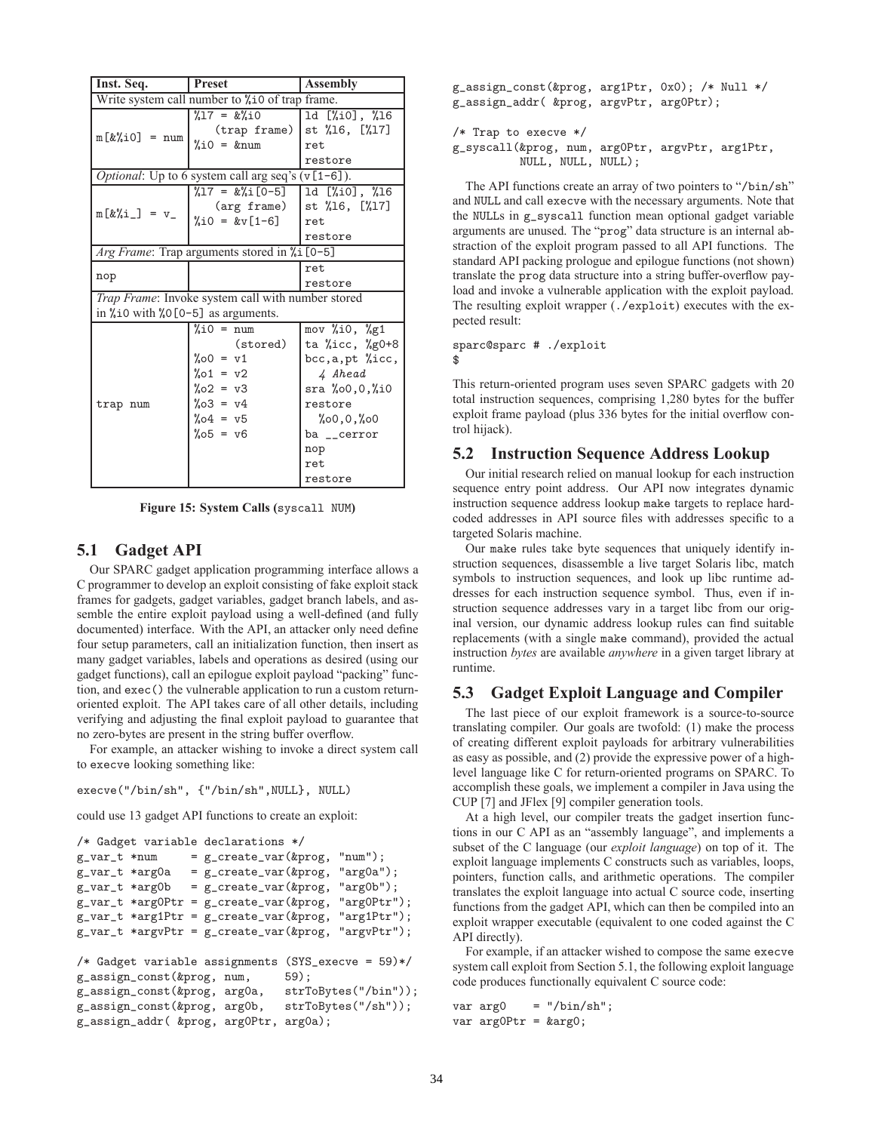| Inst. Seq.                                                   | <b>Preset</b>                                     | <b>Assembly</b>               |  |  |  |
|--------------------------------------------------------------|---------------------------------------------------|-------------------------------|--|--|--|
| Write system call number to %10 of trap frame.               |                                                   |                               |  |  |  |
| $m[x\%i0] = num$                                             | $217 = x2i0$                                      | ld [%i0], %16                 |  |  |  |
|                                                              |                                                   | $(true)$   st $%16$ , $%17$ ] |  |  |  |
|                                                              | $%i0 =$ $knum$                                    | ret                           |  |  |  |
|                                                              |                                                   | restore                       |  |  |  |
| <i>Optional</i> : Up to 6 system call arg seq's $(v[1-6])$ . |                                                   |                               |  |  |  |
| $m \left[ \&\% i \right] = v$                                | $217 = x2 \text{ if } 0-5$                        | ld [%i0], %16                 |  |  |  |
|                                                              | (arg frame)                                       | st %16, [%17]                 |  |  |  |
|                                                              | $%i0 = kv[1-6]$                                   | ret                           |  |  |  |
|                                                              |                                                   | restore                       |  |  |  |
|                                                              | Arg Frame: Trap arguments stored in %i [0-5]      |                               |  |  |  |
| nop                                                          |                                                   | ret                           |  |  |  |
|                                                              |                                                   | restore                       |  |  |  |
|                                                              | Trap Frame: Invoke system call with number stored |                               |  |  |  |
| in $%i0$ with $%0[0-5]$ as arguments.                        |                                                   |                               |  |  |  |
|                                                              | $%i0 = num$                                       | mov %i0, %g1                  |  |  |  |
|                                                              | (stored)                                          | ta %icc, % $g0+8$             |  |  |  |
| trap num                                                     | $\%$ 00 = v1                                      | bcc,a,pt %icc,                |  |  |  |
|                                                              | $\%o1 = v2$                                       | 4 Ahead                       |  |  |  |
|                                                              | $\%o2 = v3$                                       | $sra \; %00,0,\%i0$           |  |  |  |
|                                                              | $\%$ 03 = v4                                      | restore                       |  |  |  |
|                                                              | $\%o4 = v5$                                       | %00,0,%00                     |  |  |  |
|                                                              | $\%$ 05 = v6                                      | ba __cerror                   |  |  |  |
|                                                              |                                                   | nop                           |  |  |  |
|                                                              |                                                   | ret                           |  |  |  |
|                                                              |                                                   | restore                       |  |  |  |

**Figure 15: System Calls (**syscall NUM**)**

## **5.1 Gadget API**

Our SPARC gadget application programming interface allows a C programmer to develop an exploit consisting of fake exploit stack frames for gadgets, gadget variables, gadget branch labels, and assemble the entire exploit payload using a well-defined (and fully documented) interface. With the API, an attacker only need define four setup parameters, call an initialization function, then insert as many gadget variables, labels and operations as desired (using our gadget functions), call an epilogue exploit payload "packing" function, and exec() the vulnerable application to run a custom returnoriented exploit. The API takes care of all other details, including verifying and adjusting the final exploit payload to guarantee that no zero-bytes are present in the string buffer overflow.

For example, an attacker wishing to invoke a direct system call to execve looking something like:

execve("/bin/sh", {"/bin/sh",NULL}, NULL)

could use 13 gadget API functions to create an exploit:

```
/* Gadget variable declarations */
g_{var_t} *num = g_{circle_{var}}(kprox, "num");g_{\text{var}_t} *arg0a = g_{\text{cancel}} = g_{\text{square}} / k \text{arg}(a);
g_{var_t} *arg0b = g_{circle_{var}}(kprog, "arg0b");
g_var_t *arg0Ptr = g_create_var(&prog, "arg0Ptr");
g_{var_t} *arg1Ptr = g_{center} var(&prog, "arg1Ptr");
g_{var_t} *argvPtr = g_{center} var(kprog, "argvPtr");/* Gadget variable assignments (SYS_execve = 59)*/
g_assign_const(&prog, num, 59);
g_assign_const(&prog, arg0a, strToBytes("/bin"));
g_assign_const(&prog, arg0b, strToBytes("/sh"));
g_assign_addr( &prog, arg0Ptr, arg0a);
```
g\_assign\_const(&prog, arg1Ptr, 0x0); /\* Null \*/ g\_assign\_addr( &prog, argvPtr, arg0Ptr);

```
/* Trap to execve */
```
g\_syscall(&prog, num, arg0Ptr, argvPtr, arg1Ptr, NULL, NULL, NULL);

The API functions create an array of two pointers to "/bin/sh" and NULL and call execve with the necessary arguments. Note that the NULLs in g\_syscall function mean optional gadget variable arguments are unused. The "prog" data structure is an internal abstraction of the exploit program passed to all API functions. The standard API packing prologue and epilogue functions (not shown) translate the prog data structure into a string buffer-overflow payload and invoke a vulnerable application with the exploit payload. The resulting exploit wrapper (./exploit) executes with the expected result:

sparc@sparc # ./exploit \$

This return-oriented program uses seven SPARC gadgets with 20 total instruction sequences, comprising 1,280 bytes for the buffer exploit frame payload (plus 336 bytes for the initial overflow control hijack).

## **5.2 Instruction Sequence Address Lookup**

Our initial research relied on manual lookup for each instruction sequence entry point address. Our API now integrates dynamic instruction sequence address lookup make targets to replace hardcoded addresses in API source files with addresses specific to a targeted Solaris machine.

Our make rules take byte sequences that uniquely identify instruction sequences, disassemble a live target Solaris libc, match symbols to instruction sequences, and look up libc runtime addresses for each instruction sequence symbol. Thus, even if instruction sequence addresses vary in a target libc from our original version, our dynamic address lookup rules can find suitable replacements (with a single make command), provided the actual instruction *bytes* are available *anywhere* in a given target library at runtime.

## **5.3 Gadget Exploit Language and Compiler**

The last piece of our exploit framework is a source-to-source translating compiler. Our goals are twofold: (1) make the process of creating different exploit payloads for arbitrary vulnerabilities as easy as possible, and (2) provide the expressive power of a highlevel language like C for return-oriented programs on SPARC. To accomplish these goals, we implement a compiler in Java using the CUP [7] and JFlex [9] compiler generation tools.

At a high level, our compiler treats the gadget insertion functions in our C API as an "assembly language", and implements a subset of the C language (our *exploit language*) on top of it. The exploit language implements C constructs such as variables, loops, pointers, function calls, and arithmetic operations. The compiler translates the exploit language into actual C source code, inserting functions from the gadget API, which can then be compiled into an exploit wrapper executable (equivalent to one coded against the C API directly).

For example, if an attacker wished to compose the same execve system call exploit from Section 5.1, the following exploit language code produces functionally equivalent C source code:

```
var arg0 = "/bin/sh";
var arg0Ptr = karg0;
```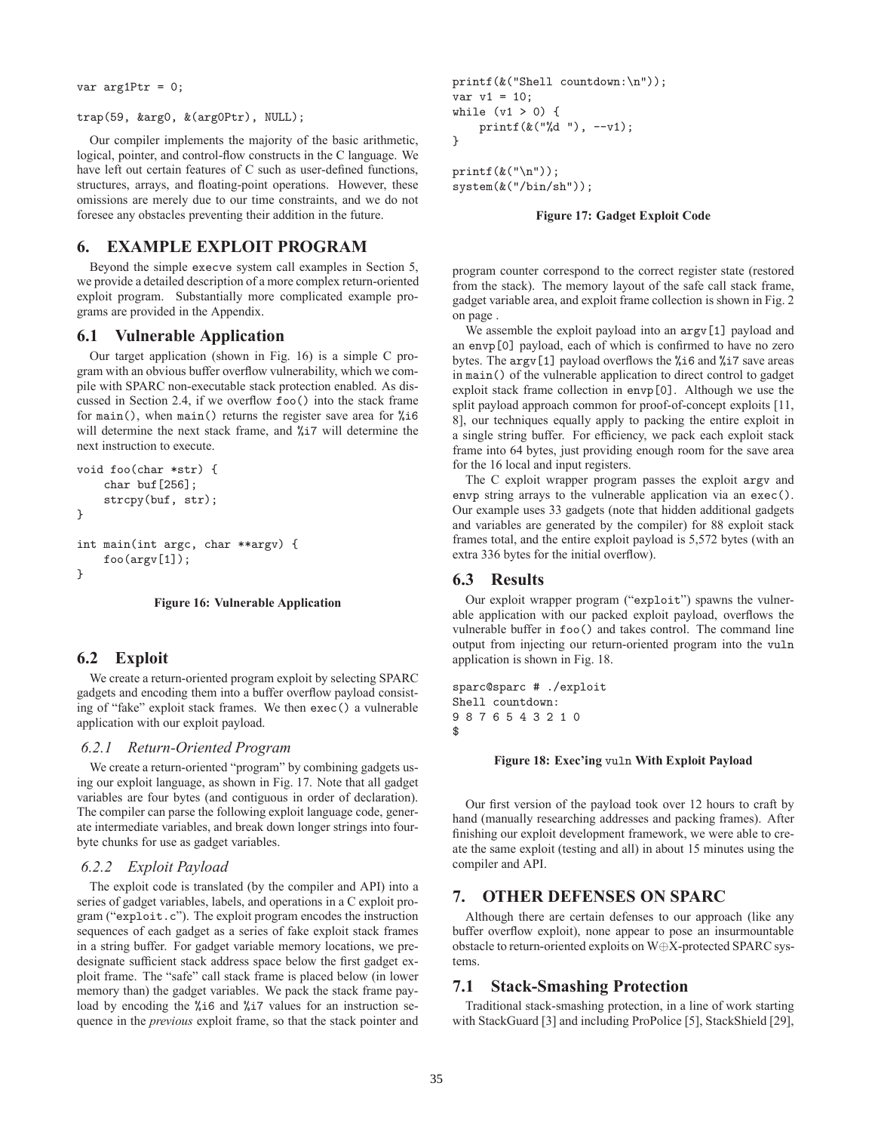var  $arg1Ptr = 0$ ;

trap(59, &arg0, &(arg0Ptr), NULL);

Our compiler implements the majority of the basic arithmetic, logical, pointer, and control-flow constructs in the C language. We have left out certain features of C such as user-defined functions, structures, arrays, and floating-point operations. However, these omissions are merely due to our time constraints, and we do not foresee any obstacles preventing their addition in the future.

# **6. EXAMPLE EXPLOIT PROGRAM**

Beyond the simple execve system call examples in Section 5, we provide a detailed description of a more complex return-oriented exploit program. Substantially more complicated example programs are provided in the Appendix.

# **6.1 Vulnerable Application**

Our target application (shown in Fig. 16) is a simple C program with an obvious buffer overflow vulnerability, which we compile with SPARC non-executable stack protection enabled. As discussed in Section 2.4, if we overflow foo() into the stack frame for main(), when main() returns the register save area for  $\frac{\pi}{6}$ will determine the next stack frame, and %i7 will determine the next instruction to execute.

```
void foo(char *str) {
    char buf[256];
    strcpy(buf, str);
}
int main(int argc, char **argv) {
    foo(argv[1]);
}
```

```
Figure 16: Vulnerable Application
```
# **6.2 Exploit**

We create a return-oriented program exploit by selecting SPARC gadgets and encoding them into a buffer overflow payload consisting of "fake" exploit stack frames. We then exec() a vulnerable application with our exploit payload.

## *6.2.1 Return-Oriented Program*

We create a return-oriented "program" by combining gadgets using our exploit language, as shown in Fig. 17. Note that all gadget variables are four bytes (and contiguous in order of declaration). The compiler can parse the following exploit language code, generate intermediate variables, and break down longer strings into fourbyte chunks for use as gadget variables.

#### *6.2.2 Exploit Payload*

The exploit code is translated (by the compiler and API) into a series of gadget variables, labels, and operations in a C exploit program ("exploit.c"). The exploit program encodes the instruction sequences of each gadget as a series of fake exploit stack frames in a string buffer. For gadget variable memory locations, we predesignate sufficient stack address space below the first gadget exploit frame. The "safe" call stack frame is placed below (in lower memory than) the gadget variables. We pack the stack frame payload by encoding the %i6 and %i7 values for an instruction sequence in the *previous* exploit frame, so that the stack pointer and

```
printf(&("Shell countdown:\n"));
var v1 = 10;
while (v1 > 0) {
    printf(&("%d "), --v1);
}
```
 $print({\&(^{\shortparallel}}\backslash n^{\shortparallel}))$ ; system(&("/bin/sh"));

#### **Figure 17: Gadget Exploit Code**

program counter correspond to the correct register state (restored from the stack). The memory layout of the safe call stack frame, gadget variable area, and exploit frame collection is shown in Fig. 2 on page .

We assemble the exploit payload into an  $\arg v[1]$  payload and an envp[0] payload, each of which is confirmed to have no zero bytes. The argv[1] payload overflows the %i6 and %i7 save areas in main() of the vulnerable application to direct control to gadget exploit stack frame collection in envp[0]. Although we use the split payload approach common for proof-of-concept exploits [11, 8], our techniques equally apply to packing the entire exploit in a single string buffer. For efficiency, we pack each exploit stack frame into 64 bytes, just providing enough room for the save area for the 16 local and input registers.

The C exploit wrapper program passes the exploit argv and envp string arrays to the vulnerable application via an exec(). Our example uses 33 gadgets (note that hidden additional gadgets and variables are generated by the compiler) for 88 exploit stack frames total, and the entire exploit payload is 5,572 bytes (with an extra 336 bytes for the initial overflow).

# **6.3 Results**

Our exploit wrapper program ("exploit") spawns the vulnerable application with our packed exploit payload, overflows the vulnerable buffer in foo() and takes control. The command line output from injecting our return-oriented program into the vuln application is shown in Fig. 18.

sparc@sparc # ./exploit Shell countdown: 9 8 7 6 5 4 3 2 1 0 \$

#### **Figure 18: Exec'ing** vuln **With Exploit Payload**

Our first version of the payload took over 12 hours to craft by hand (manually researching addresses and packing frames). After finishing our exploit development framework, we were able to create the same exploit (testing and all) in about 15 minutes using the compiler and API.

# **7. OTHER DEFENSES ON SPARC**

Although there are certain defenses to our approach (like any buffer overflow exploit), none appear to pose an insurmountable obstacle to return-oriented exploits on W⊕X-protected SPARC systems.

## **7.1 Stack-Smashing Protection**

Traditional stack-smashing protection, in a line of work starting with StackGuard [3] and including ProPolice [5], StackShield [29],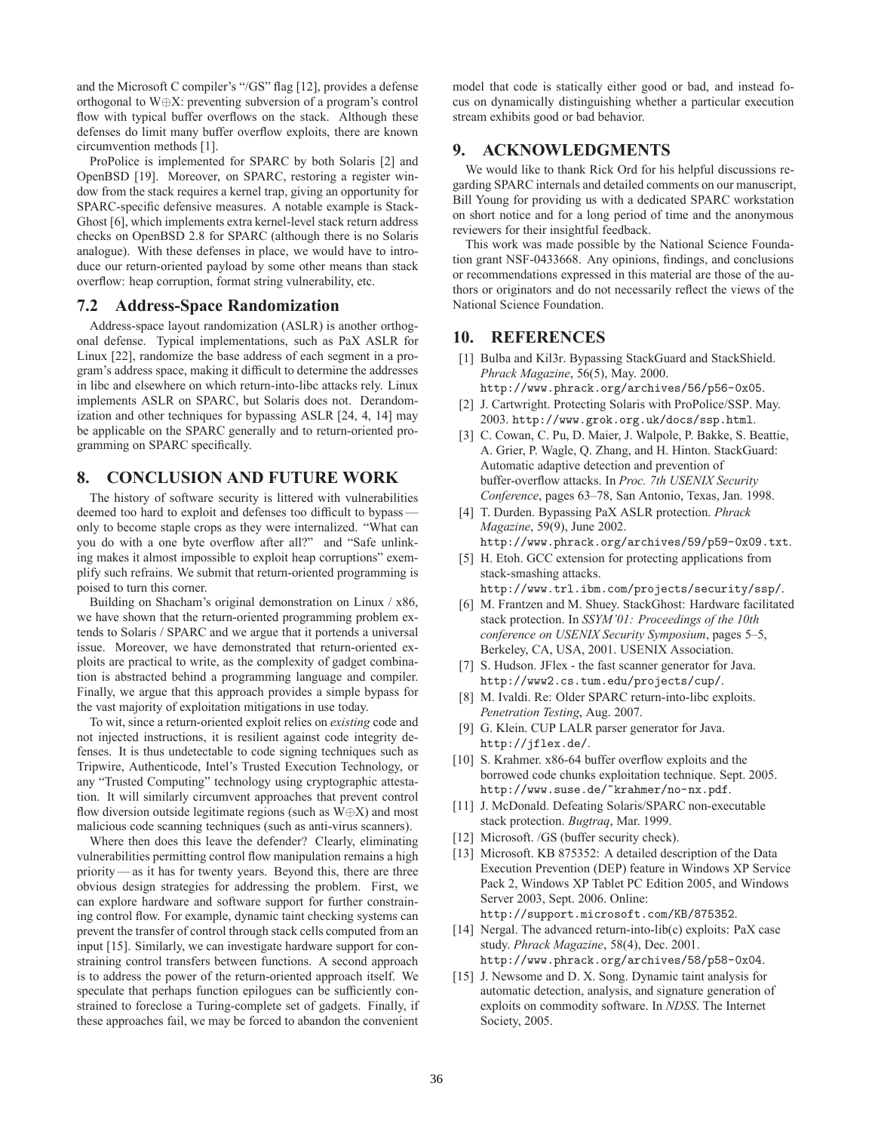and the Microsoft C compiler's "/GS" flag [12], provides a defense orthogonal to W⊕X: preventing subversion of a program's control flow with typical buffer overflows on the stack. Although these defenses do limit many buffer overflow exploits, there are known circumvention methods [1].

ProPolice is implemented for SPARC by both Solaris [2] and OpenBSD [19]. Moreover, on SPARC, restoring a register window from the stack requires a kernel trap, giving an opportunity for SPARC-specific defensive measures. A notable example is Stack-Ghost [6], which implements extra kernel-level stack return address checks on OpenBSD 2.8 for SPARC (although there is no Solaris analogue). With these defenses in place, we would have to introduce our return-oriented payload by some other means than stack overflow: heap corruption, format string vulnerability, etc.

## **7.2 Address-Space Randomization**

Address-space layout randomization (ASLR) is another orthogonal defense. Typical implementations, such as PaX ASLR for Linux [22], randomize the base address of each segment in a program's address space, making it difficult to determine the addresses in libc and elsewhere on which return-into-libc attacks rely. Linux implements ASLR on SPARC, but Solaris does not. Derandomization and other techniques for bypassing ASLR [24, 4, 14] may be applicable on the SPARC generally and to return-oriented programming on SPARC specifically.

#### **8. CONCLUSION AND FUTURE WORK**

The history of software security is littered with vulnerabilities deemed too hard to exploit and defenses too difficult to bypass only to become staple crops as they were internalized. "What can you do with a one byte overflow after all?" and "Safe unlinking makes it almost impossible to exploit heap corruptions" exemplify such refrains. We submit that return-oriented programming is poised to turn this corner.

Building on Shacham's original demonstration on Linux / x86, we have shown that the return-oriented programming problem extends to Solaris / SPARC and we argue that it portends a universal issue. Moreover, we have demonstrated that return-oriented exploits are practical to write, as the complexity of gadget combination is abstracted behind a programming language and compiler. Finally, we argue that this approach provides a simple bypass for the vast majority of exploitation mitigations in use today.

To wit, since a return-oriented exploit relies on *existing* code and not injected instructions, it is resilient against code integrity defenses. It is thus undetectable to code signing techniques such as Tripwire, Authenticode, Intel's Trusted Execution Technology, or any "Trusted Computing" technology using cryptographic attestation. It will similarly circumvent approaches that prevent control flow diversion outside legitimate regions (such as  $W \oplus X$ ) and most malicious code scanning techniques (such as anti-virus scanners).

Where then does this leave the defender? Clearly, eliminating vulnerabilities permitting control flow manipulation remains a high priority — as it has for twenty years. Beyond this, there are three obvious design strategies for addressing the problem. First, we can explore hardware and software support for further constraining control flow. For example, dynamic taint checking systems can prevent the transfer of control through stack cells computed from an input [15]. Similarly, we can investigate hardware support for constraining control transfers between functions. A second approach is to address the power of the return-oriented approach itself. We speculate that perhaps function epilogues can be sufficiently constrained to foreclose a Turing-complete set of gadgets. Finally, if these approaches fail, we may be forced to abandon the convenient model that code is statically either good or bad, and instead focus on dynamically distinguishing whether a particular execution stream exhibits good or bad behavior.

## **9. ACKNOWLEDGMENTS**

We would like to thank Rick Ord for his helpful discussions regarding SPARC internals and detailed comments on our manuscript, Bill Young for providing us with a dedicated SPARC workstation on short notice and for a long period of time and the anonymous reviewers for their insightful feedback.

This work was made possible by the National Science Foundation grant NSF-0433668. Any opinions, findings, and conclusions or recommendations expressed in this material are those of the authors or originators and do not necessarily reflect the views of the National Science Foundation.

# **10. REFERENCES**

- [1] Bulba and Kil3r. Bypassing StackGuard and StackShield. *Phrack Magazine*, 56(5), May. 2000. http://www.phrack.org/archives/56/p56-0x05.
- [2] J. Cartwright. Protecting Solaris with ProPolice/SSP. May. 2003. http://www.grok.org.uk/docs/ssp.html.
- [3] C. Cowan, C. Pu, D. Maier, J. Walpole, P. Bakke, S. Beattie, A. Grier, P. Wagle, Q. Zhang, and H. Hinton. StackGuard: Automatic adaptive detection and prevention of buffer-overflow attacks. In *Proc. 7th USENIX Security Conference*, pages 63–78, San Antonio, Texas, Jan. 1998.
- [4] T. Durden. Bypassing PaX ASLR protection. *Phrack Magazine*, 59(9), June 2002. http://www.phrack.org/archives/59/p59-0x09.txt.
- [5] H. Etoh. GCC extension for protecting applications from stack-smashing attacks.
- http://www.trl.ibm.com/projects/security/ssp/. [6] M. Frantzen and M. Shuey. StackGhost: Hardware facilitated stack protection. In *SSYM'01: Proceedings of the 10th conference on USENIX Security Symposium*, pages 5–5,
- Berkeley, CA, USA, 2001. USENIX Association. [7] S. Hudson. JFlex - the fast scanner generator for Java. http://www2.cs.tum.edu/projects/cup/.
- [8] M. Ivaldi. Re: Older SPARC return-into-libc exploits. *Penetration Testing*, Aug. 2007.
- [9] G. Klein. CUP LALR parser generator for Java. http://jflex.de/.
- [10] S. Krahmer. x86-64 buffer overflow exploits and the borrowed code chunks exploitation technique. Sept. 2005. http://www.suse.de/~krahmer/no-nx.pdf.
- [11] J. McDonald. Defeating Solaris/SPARC non-executable stack protection. *Bugtraq*, Mar. 1999.
- [12] Microsoft. /GS (buffer security check).
- [13] Microsoft, KB 875352: A detailed description of the Data Execution Prevention (DEP) feature in Windows XP Service Pack 2, Windows XP Tablet PC Edition 2005, and Windows Server 2003, Sept. 2006. Online: http://support.microsoft.com/KB/875352.
- [14] Nergal. The advanced return-into-lib(c) exploits: PaX case study. *Phrack Magazine*, 58(4), Dec. 2001. http://www.phrack.org/archives/58/p58-0x04.
- [15] J. Newsome and D. X. Song. Dynamic taint analysis for automatic detection, analysis, and signature generation of exploits on commodity software. In *NDSS*. The Internet Society, 2005.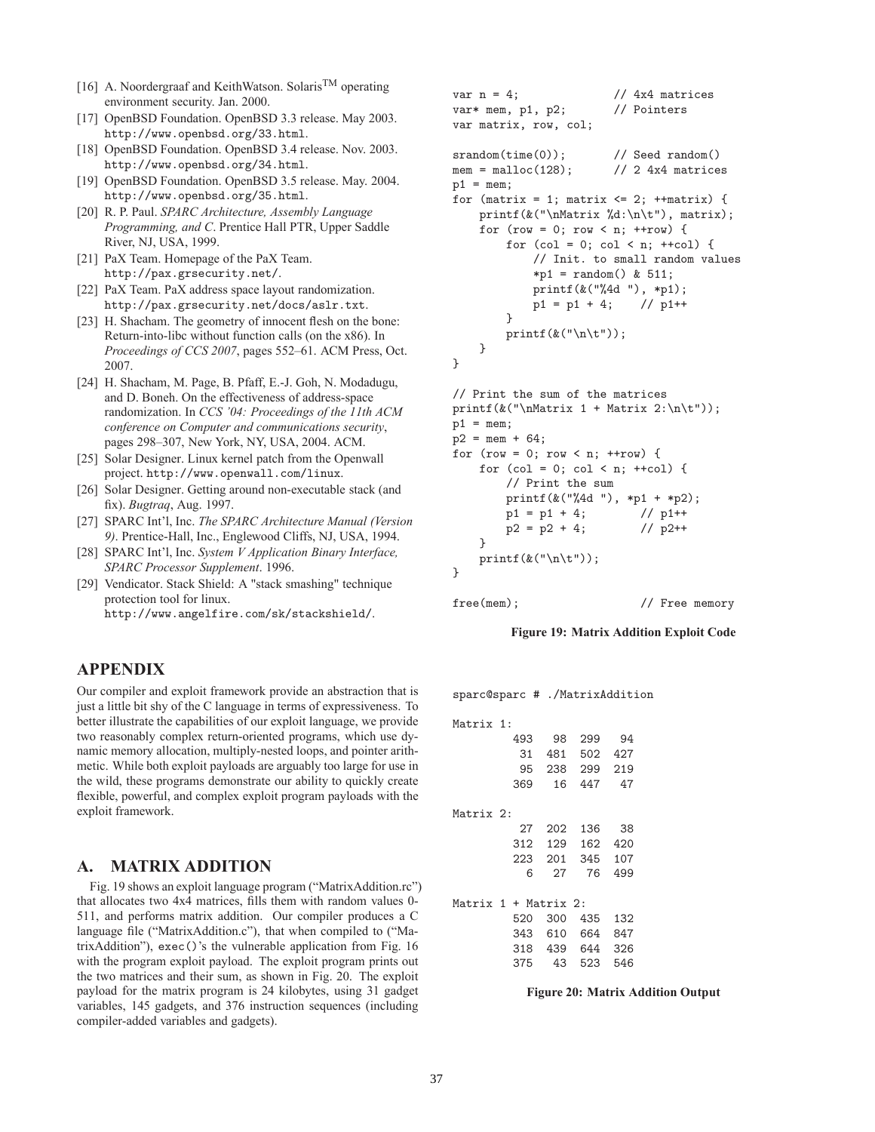- [16] A. Noordergraaf and KeithWatson. Solaris<sup>TM</sup> operating environment security. Jan. 2000.
- [17] OpenBSD Foundation. OpenBSD 3.3 release. May 2003. http://www.openbsd.org/33.html.
- [18] OpenBSD Foundation. OpenBSD 3.4 release. Nov. 2003. http://www.openbsd.org/34.html.
- [19] OpenBSD Foundation. OpenBSD 3.5 release. May. 2004. http://www.openbsd.org/35.html.
- [20] R. P. Paul. *SPARC Architecture, Assembly Language Programming, and C*. Prentice Hall PTR, Upper Saddle River, NJ, USA, 1999.
- [21] PaX Team. Homepage of the PaX Team. http://pax.grsecurity.net/.
- [22] PaX Team. PaX address space layout randomization. http://pax.grsecurity.net/docs/aslr.txt.
- [23] H. Shacham. The geometry of innocent flesh on the bone: Return-into-libc without function calls (on the x86). In *Proceedings of CCS 2007*, pages 552–61. ACM Press, Oct. 2007.
- [24] H. Shacham, M. Page, B. Pfaff, E.-J. Goh, N. Modadugu, and D. Boneh. On the effectiveness of address-space randomization. In *CCS '04: Proceedings of the 11th ACM conference on Computer and communications security*, pages 298–307, New York, NY, USA, 2004. ACM.
- [25] Solar Designer. Linux kernel patch from the Openwall project. http://www.openwall.com/linux.
- [26] Solar Designer. Getting around non-executable stack (and fix). *Bugtraq*, Aug. 1997.
- [27] SPARC Int'l, Inc. *The SPARC Architecture Manual (Version 9)*. Prentice-Hall, Inc., Englewood Cliffs, NJ, USA, 1994.
- [28] SPARC Int'l, Inc. *System V Application Binary Interface, SPARC Processor Supplement*. 1996.
- [29] Vendicator. Stack Shield: A "stack smashing" technique protection tool for linux. http://www.angelfire.com/sk/stackshield/.

# **APPENDIX**

Our compiler and exploit framework provide an abstraction that is just a little bit shy of the C language in terms of expressiveness. To better illustrate the capabilities of our exploit language, we provide two reasonably complex return-oriented programs, which use dynamic memory allocation, multiply-nested loops, and pointer arithmetic. While both exploit payloads are arguably too large for use in the wild, these programs demonstrate our ability to quickly create flexible, powerful, and complex exploit program payloads with the exploit framework.

# **A. MATRIX ADDITION**

Fig. 19 shows an exploit language program ("MatrixAddition.rc") that allocates two 4x4 matrices, fills them with random values 0- 511, and performs matrix addition. Our compiler produces a C language file ("MatrixAddition.c"), that when compiled to ("MatrixAddition"), exec()'s the vulnerable application from Fig. 16 with the program exploit payload. The exploit program prints out the two matrices and their sum, as shown in Fig. 20. The exploit payload for the matrix program is 24 kilobytes, using 31 gadget variables, 145 gadgets, and 376 instruction sequences (including compiler-added variables and gadgets).

```
var n = 4; \frac{1}{4} // 4x4 matrices
var* mem, p1, p2; // Pointers
var matrix, row, col;
srandom(time(0)); // Seed random()
mem = malloc(128); // 2 4x4 matrices
p1 = mem;for (matrix = 1; matrix \leq 2; +\text{matrix}) {
   printf(&("\nMatrix %d:\n\t"), matrix);
   for (row = 0; row < n; ++row) {
       for (col = 0; col < n; ++col) {
            // Init. to small random values
            *pi = random() & 511;printf(&("%4d "), *p1);
           p1 = p1 + 4; // p1++}
       print({\&("\n\h\t")});
   }
}
```

```
// Print the sum of the matrices
print(k("\mathtt{1} + Matrix 2:\n[t]);
p1 = mem;p2 = mem + 64;for (row = 0; row < n; ++row) {
    for (col = 0; col < n; ++col) {
        // Print the sum
        printf(&("%4d "), *p1 + *p2);
        p1 = p1 + 4; // p1++p2 = p2 + 4; // p2++}
    print({\&(^{\shortparallel}\n}\n\backslash t^{\shortparallel}));
}
```
free(mem);  $//$  Free memory

#### **Figure 19: Matrix Addition Exploit Code**

sparc@sparc # ./MatrixAddition

| Matrix 1:            |     |         |       |     |  |  |
|----------------------|-----|---------|-------|-----|--|--|
|                      | 493 | 98      | 299   | 94  |  |  |
|                      | 31  | 481     | 502   | 427 |  |  |
|                      | 95  | 238     | 299   | 219 |  |  |
|                      | 369 | 16      | 447   | 47  |  |  |
| Matrix 2:            |     |         |       |     |  |  |
|                      | 27  | 202     | 136   | 38  |  |  |
|                      | 312 | 129     | 162   | 420 |  |  |
|                      |     | 223 201 | - 345 | 107 |  |  |
|                      | 6   | 27      | -76   | 499 |  |  |
|                      |     |         |       |     |  |  |
| Matrix 1 + Matrix 2: |     |         |       |     |  |  |
|                      | 520 | 300     | 435   | 132 |  |  |
|                      | 343 | 610     | 664   | 847 |  |  |
|                      | 318 | 439     | 644   | 326 |  |  |
|                      | 375 | - 43    | 523   | 546 |  |  |

**Figure 20: Matrix Addition Output**